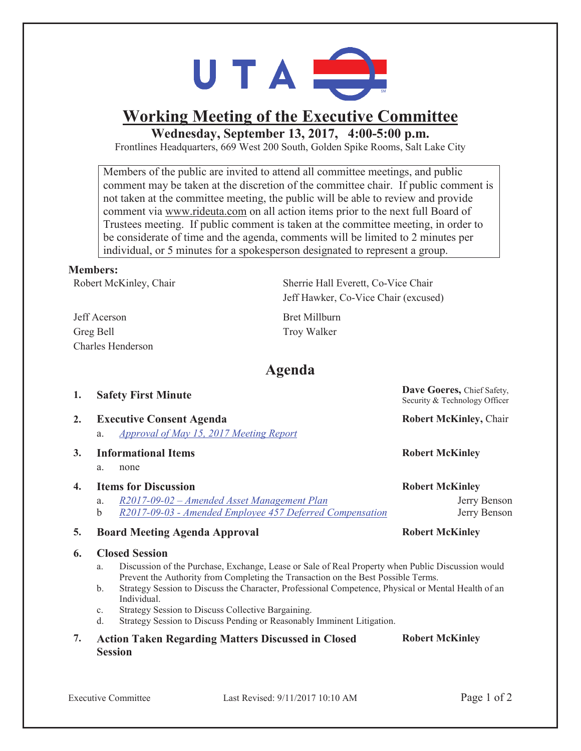

# **Working Meeting of the Executive Committee**

**Wednesday, September 13, 2017, 4:00-5:00 p.m.** 

Frontlines Headquarters, 669 West 200 South, Golden Spike Rooms, Salt Lake City

Members of the public are invited to attend all committee meetings, and public comment may be taken at the discretion of the committee chair. If public comment is not taken at the committee meeting, the public will be able to review and provide comment via www.rideuta.com on all action items prior to the next full Board of Trustees meeting. If public comment is taken at the committee meeting, in order to be considerate of time and the agenda, comments will be limited to 2 minutes per individual, or 5 minutes for a spokesperson designated to represent a group.

### **Members:**

Robert McKinley, Chair Sherrie Hall Everett, Co-Vice Chair

Jeff Acerson Bret Millburn Greg Bell Troy Walker Charles Henderson

Jeff Hawker, Co-Vice Chair (excused)

# **Agenda**

| 1. | <b>Safety First Minute</b>                                                       | Dave Goeres, Chief Safety,<br>Security & Technology Officer |
|----|----------------------------------------------------------------------------------|-------------------------------------------------------------|
| 2. | <b>Executive Consent Agenda</b><br>Approval of May 15, 2017 Meeting Report<br>a. | <b>Robert McKinley, Chair</b>                               |
| 3. | <b>Informational Items</b><br>a.<br>none                                         | <b>Robert McKinley</b>                                      |
| 4. | <b>Items for Discussion</b>                                                      | <b>Robert McKinley</b>                                      |
|    | R2017-09-02 - Amended Asset Management Plan<br>a.                                | Jerry Benson                                                |

b *R2017-09-03 - Amended Employee 457 Deferred Compensation* Jerry Benson

### **5. Board Meeting Agenda Approval Robert McKinley**

#### **6. Closed Session**

- a. Discussion of the Purchase, Exchange, Lease or Sale of Real Property when Public Discussion would Prevent the Authority from Completing the Transaction on the Best Possible Terms.
- b. Strategy Session to Discuss the Character, Professional Competence, Physical or Mental Health of an Individual.
- c. Strategy Session to Discuss Collective Bargaining.
- d. Strategy Session to Discuss Pending or Reasonably Imminent Litigation.

|  | <b>Action Taken Regarding Matters Discussed in Closed</b> | <b>Robert McKinley</b> |
|--|-----------------------------------------------------------|------------------------|
|  | <b>Session</b>                                            |                        |

ogy Officer